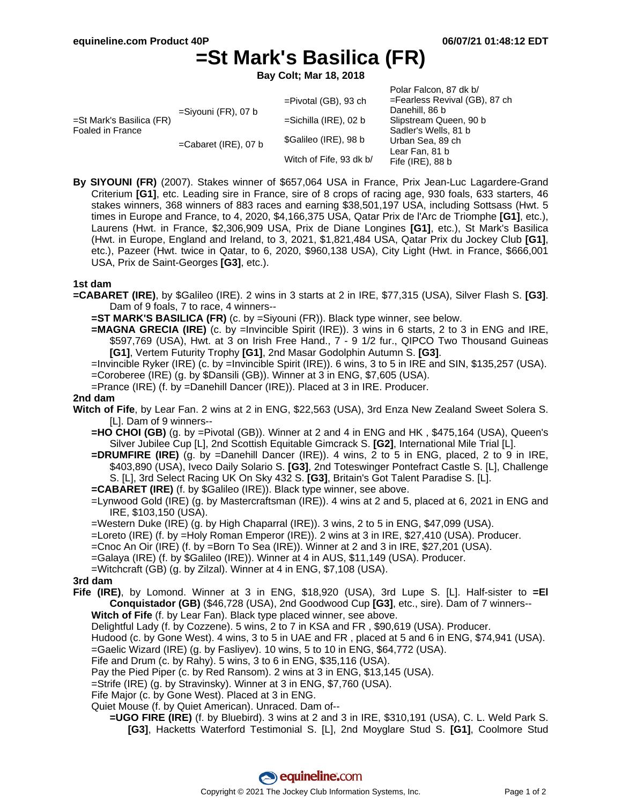# **=St Mark's Basilica (FR)**

**Bay Colt; Mar 18, 2018**

|                                                        |                         |                          | Polar Falcon, 87 dk b/        |
|--------------------------------------------------------|-------------------------|--------------------------|-------------------------------|
| $=$ St Mark's Basilica (FR)<br><b>Foaled in France</b> | $=$ Siyouni (FR), 07 b  | $=$ Pivotal (GB), 93 ch  | =Fearless Revival (GB), 87 ch |
|                                                        |                         |                          | Danehill, 86 b                |
|                                                        |                         | $=$ Sichilla (IRE), 02 b | Slipstream Queen, 90 b        |
|                                                        |                         |                          | Sadler's Wells, 81 b          |
|                                                        | $=$ Cabaret (IRE), 07 b | \$Galileo (IRE), 98 b    | Urban Sea, 89 ch              |
|                                                        |                         |                          | Lear Fan, 81 b                |
|                                                        |                         | Witch of Fife, 93 dk b/  | Fife $(IRE)$ , 88 b           |

**By SIYOUNI (FR)** (2007). Stakes winner of \$657,064 USA in France, Prix Jean-Luc Lagardere-Grand Criterium **[G1]**, etc. Leading sire in France, sire of 8 crops of racing age, 930 foals, 633 starters, 46 stakes winners, 368 winners of 883 races and earning \$38,501,197 USA, including Sottsass (Hwt. 5 times in Europe and France, to 4, 2020, \$4,166,375 USA, Qatar Prix de l'Arc de Triomphe **[G1]**, etc.), Laurens (Hwt. in France, \$2,306,909 USA, Prix de Diane Longines **[G1]**, etc.), St Mark's Basilica (Hwt. in Europe, England and Ireland, to 3, 2021, \$1,821,484 USA, Qatar Prix du Jockey Club **[G1]**, etc.), Pazeer (Hwt. twice in Qatar, to 6, 2020, \$960,138 USA), City Light (Hwt. in France, \$666,001 USA, Prix de Saint-Georges **[G3]**, etc.).

## **1st dam**

- **=CABARET (IRE)**, by \$Galileo (IRE). 2 wins in 3 starts at 2 in IRE, \$77,315 (USA), Silver Flash S. **[G3]**. Dam of 9 foals, 7 to race, 4 winners--
	- **=ST MARK'S BASILICA (FR)** (c. by =Siyouni (FR)). Black type winner, see below.
	- **=MAGNA GRECIA (IRE)** (c. by =Invincible Spirit (IRE)). 3 wins in 6 starts, 2 to 3 in ENG and IRE, \$597,769 (USA), Hwt. at 3 on Irish Free Hand., 7 - 9 1/2 fur., QIPCO Two Thousand Guineas **[G1]**, Vertem Futurity Trophy **[G1]**, 2nd Masar Godolphin Autumn S. **[G3]**.
	- =Invincible Ryker (IRE) (c. by =Invincible Spirit (IRE)). 6 wins, 3 to 5 in IRE and SIN, \$135,257 (USA). =Coroberee (IRE) (g. by \$Dansili (GB)). Winner at 3 in ENG, \$7,605 (USA).
	- =Prance (IRE) (f. by =Danehill Dancer (IRE)). Placed at 3 in IRE. Producer.

#### **2nd dam**

- **Witch of Fife**, by Lear Fan. 2 wins at 2 in ENG, \$22,563 (USA), 3rd Enza New Zealand Sweet Solera S. [L]. Dam of 9 winners--
	- **=HO CHOI (GB)** (g. by =Pivotal (GB)). Winner at 2 and 4 in ENG and HK, \$475,164 (USA), Queen's Silver Jubilee Cup [L], 2nd Scottish Equitable Gimcrack S. **[G2]**, International Mile Trial [L].
	- **=DRUMFIRE (IRE)** (g. by =Danehill Dancer (IRE)). 4 wins, 2 to 5 in ENG, placed, 2 to 9 in IRE, \$403,890 (USA), Iveco Daily Solario S. **[G3]**, 2nd Toteswinger Pontefract Castle S. [L], Challenge S. [L], 3rd Select Racing UK On Sky 432 S. **[G3]**, Britain's Got Talent Paradise S. [L].
	- **=CABARET (IRE)** (f. by \$Galileo (IRE)). Black type winner, see above.
	- =Lynwood Gold (IRE) (g. by Mastercraftsman (IRE)). 4 wins at 2 and 5, placed at 6, 2021 in ENG and IRE, \$103,150 (USA).
	- =Western Duke (IRE) (g. by High Chaparral (IRE)). 3 wins, 2 to 5 in ENG, \$47,099 (USA).
	- =Loreto (IRE) (f. by =Holy Roman Emperor (IRE)). 2 wins at 3 in IRE, \$27,410 (USA). Producer.
	- =Cnoc An Oir (IRE) (f. by =Born To Sea (IRE)). Winner at 2 and 3 in IRE, \$27,201 (USA).
	- =Galaya (IRE) (f. by \$Galileo (IRE)). Winner at 4 in AUS, \$11,149 (USA). Producer.
	- =Witchcraft (GB) (g. by Zilzal). Winner at 4 in ENG, \$7,108 (USA).

## **3rd dam**

- **Fife (IRE)**, by Lomond. Winner at 3 in ENG, \$18,920 (USA), 3rd Lupe S. [L]. Half-sister to **=El Conquistador (GB)** (\$46,728 (USA), 2nd Goodwood Cup **[G3]**, etc., sire). Dam of 7 winners-- **Witch of Fife** (f. by Lear Fan). Black type placed winner, see above.
	- Delightful Lady (f. by Cozzene). 5 wins, 2 to 7 in KSA and FR , \$90,619 (USA). Producer.
	- Hudood (c. by Gone West). 4 wins, 3 to 5 in UAE and FR, placed at 5 and 6 in ENG, \$74,941 (USA).
	- =Gaelic Wizard (IRE) (g. by Fasliyev). 10 wins, 5 to 10 in ENG, \$64,772 (USA).
	- Fife and Drum (c. by Rahy). 5 wins, 3 to 6 in ENG, \$35,116 (USA).
	- Pay the Pied Piper (c. by Red Ransom). 2 wins at 3 in ENG, \$13,145 (USA).
	- =Strife (IRE) (g. by Stravinsky). Winner at 3 in ENG, \$7,760 (USA).
	- Fife Major (c. by Gone West). Placed at 3 in ENG.
	- Quiet Mouse (f. by Quiet American). Unraced. Dam of--
		- **=UGO FIRE (IRE)** (f. by Bluebird). 3 wins at 2 and 3 in IRE, \$310,191 (USA), C. L. Weld Park S. **[G3]**, Hacketts Waterford Testimonial S. [L], 2nd Moyglare Stud S. **[G1]**, Coolmore Stud